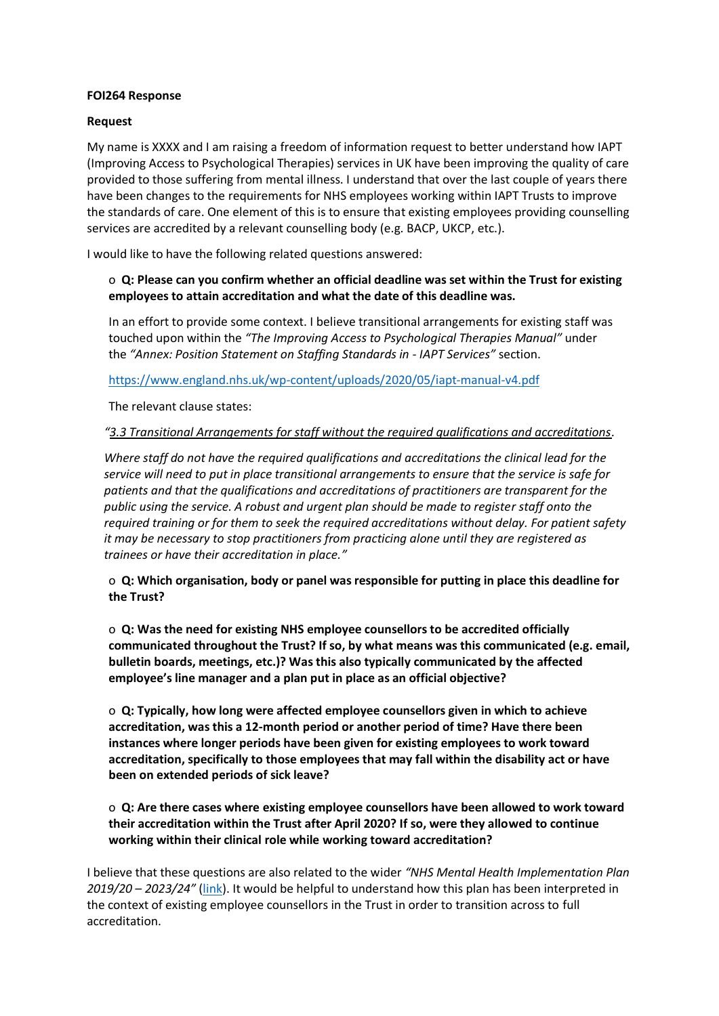## **FOI264 Response**

## **Request**

My name is XXXX and I am raising a freedom of information request to better understand how IAPT (Improving Access to Psychological Therapies) services in UK have been improving the quality of care provided to those suffering from mental illness. I understand that over the last couple of years there have been changes to the requirements for NHS employees working within IAPT Trusts to improve the standards of care. One element of this is to ensure that existing employees providing counselling services are accredited by a relevant counselling body (e.g. BACP, UKCP, etc.).

I would like to have the following related questions answered:

## o **Q: Please can you confirm whether an official deadline was set within the Trust for existing employees to attain accreditation and what the date of this deadline was.**

In an effort to provide some context. I believe transitional arrangements for existing staff was touched upon within the *"The Improving Access to Psychological Therapies Manual"* under the *"Annex: Position Statement on Staffing Standards in - IAPT Services"* section.

<https://www.england.nhs.uk/wp-content/uploads/2020/05/iapt-manual-v4.pdf>

The relevant clause states:

*"3.3 Transitional Arrangements for staff without the required qualifications and accreditations.*

*Where staff do not have the required qualifications and accreditations the clinical lead for the service will need to put in place transitional arrangements to ensure that the service is safe for patients and that the qualifications and accreditations of practitioners are transparent for the public using the service. A robust and urgent plan should be made to register staff onto the required training or for them to seek the required accreditations without delay. For patient safety it may be necessary to stop practitioners from practicing alone until they are registered as trainees or have their accreditation in place."*

o **Q: Which organisation, body or panel was responsible for putting in place this deadline for the Trust?** 

o **Q: Was the need for existing NHS employee counsellors to be accredited officially communicated throughout the Trust? If so, by what means was this communicated (e.g. email, bulletin boards, meetings, etc.)? Was this also typically communicated by the affected employee's line manager and a plan put in place as an official objective?** 

o **Q: Typically, how long were affected employee counsellors given in which to achieve accreditation, was this a 12-month period or another period of time? Have there been instances where longer periods have been given for existing employees to work toward accreditation, specifically to those employees that may fall within the disability act or have been on extended periods of sick leave?**

o **Q: Are there cases where existing employee counsellors have been allowed to work toward their accreditation within the Trust after April 2020? If so, were they allowed to continue working within their clinical role while working toward accreditation?**

I believe that these questions are also related to the wider *"NHS Mental Health Implementation Plan 2019/20 – 2023/24"* [\(link\)](https://www.longtermplan.nhs.uk/wp-content/uploads/2019/07/nhs-mental-health-implementation-plan-2019-20-2023-24.pdf). It would be helpful to understand how this plan has been interpreted in the context of existing employee counsellors in the Trust in order to transition across to full accreditation.